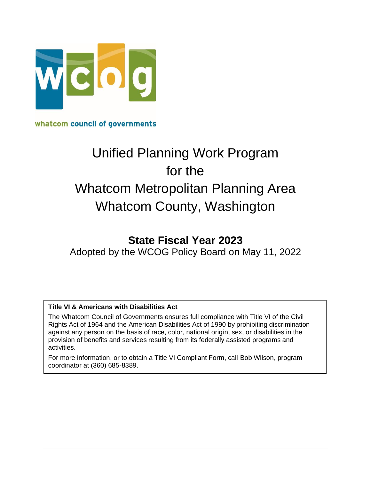

whatcom council of governments

# Unified Planning Work Program for the Whatcom Metropolitan Planning Area Whatcom County, Washington

# **State Fiscal Year 2023**

Adopted by the WCOG Policy Board on May 11, 2022

#### **Title VI & Americans with Disabilities Act**

The Whatcom Council of Governments ensures full compliance with Title VI of the Civil Rights Act of 1964 and the American Disabilities Act of 1990 by prohibiting discrimination against any person on the basis of race, color, national origin, sex, or disabilities in the provision of benefits and services resulting from its federally assisted programs and activities.

For more information, or to obtain a Title VI Compliant Form, call Bob Wilson, program coordinator at (360) 685-8389.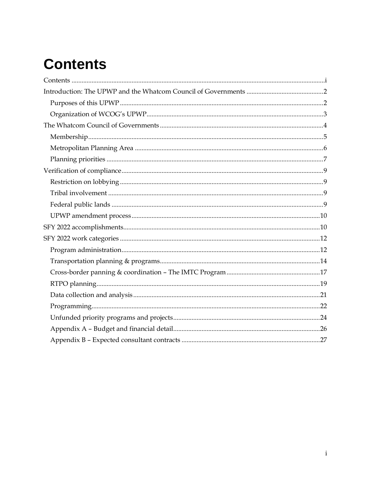# <span id="page-1-0"></span>**Contents**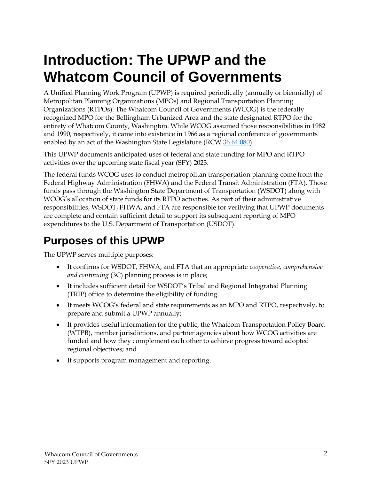# <span id="page-2-0"></span>**Introduction: The UPWP and the Whatcom Council of Governments**

A Unified Planning Work Program (UPWP) is required periodically (annually or biennially) of Metropolitan Planning Organizations (MPOs) and Regional Transportation Planning Organizations (RTPOs). The Whatcom Council of Governments (WCOG) is the federally recognized MPO for the Bellingham Urbanized Area and the state designated RTPO for the entirety of Whatcom County, Washington. While WCOG assumed those responsibilities in 1982 and 1990, respectively, it came into existence in 1966 as a regional conference of governments enabled by an act of the Washington State Legislature (RCW [36.64.080\)](http://app.leg.wa.gov/RCW/default.aspx?cite=36.64.080).

This UPWP documents anticipated uses of federal and state funding for MPO and RTPO activities over the upcoming state fiscal year (SFY) 2023.

The federal funds WCOG uses to conduct metropolitan transportation planning come from the Federal Highway Administration (FHWA) and the Federal Transit Administration (FTA). Those funds pass through the Washington State Department of Transportation (WSDOT) along with WCOG's allocation of state funds for its RTPO activities. As part of their administrative responsibilities, WSDOT, FHWA, and FTA are responsible for verifying that UPWP documents are complete and contain sufficient detail to support its subsequent reporting of MPO expenditures to the U.S. Department of Transportation (USDOT).

# <span id="page-2-1"></span>**Purposes of this UPWP**

The UPWP serves multiple purposes:

- It confirms for WSDOT, FHWA, and FTA that an appropriate *cooperative, comprehensive and continuing* (3C) planning process is in place;
- It includes sufficient detail for WSDOT's Tribal and Regional Integrated Planning (TRIP) office to determine the eligibility of funding.
- It meets WCOG's federal and state requirements as an MPO and RTPO, respectively, to prepare and submit a UPWP annually;
- It provides useful information for the public, the Whatcom Transportation Policy Board (WTPB), member jurisdictions, and partner agencies about how WCOG activities are funded and how they complement each other to achieve progress toward adopted regional objectives; and
- It supports program management and reporting.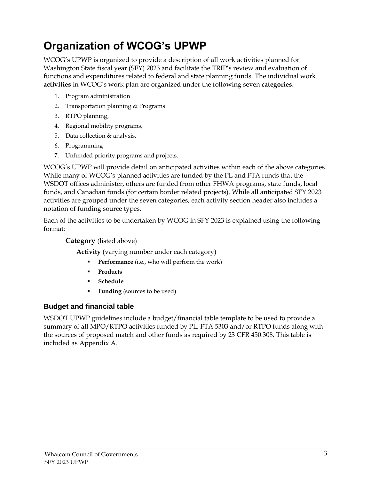# <span id="page-3-0"></span>**Organization of WCOG's UPWP**

WCOG's UPWP is organized to provide a description of all work activities planned for Washington State fiscal year (SFY) 2023 and facilitate the TRIP's review and evaluation of functions and expenditures related to federal and state planning funds. The individual work **activities** in WCOG's work plan are organized under the following seven **categories.**

- 1. Program administration
- 2. Transportation planning & Programs
- 3. RTPO planning,
- 4. Regional mobility programs,
- 5. Data collection & analysis,
- 6. Programming
- 7. Unfunded priority programs and projects.

WCOG's UPWP will provide detail on anticipated activities within each of the above categories. While many of WCOG's planned activities are funded by the PL and FTA funds that the WSDOT offices administer, others are funded from other FHWA programs, state funds, local funds, and Canadian funds (for certain border related projects). While all anticipated SFY 2023 activities are grouped under the seven categories, each activity section header also includes a notation of funding source types.

Each of the activities to be undertaken by WCOG in SFY 2023 is explained using the following format:

#### **Category** (listed above)

**Activity** (varying number under each category)

- Performance (i.e., who will perform the work)
- **Products**
- **Schedule**
- **Funding** (sources to be used)

#### **Budget and financial table**

WSDOT UPWP guidelines include a budget/financial table template to be used to provide a summary of all MPO/RTPO activities funded by PL, FTA 5303 and/or RTPO funds along with the sources of proposed match and other funds as required by 23 CFR 450.308. This table is included as Appendix A.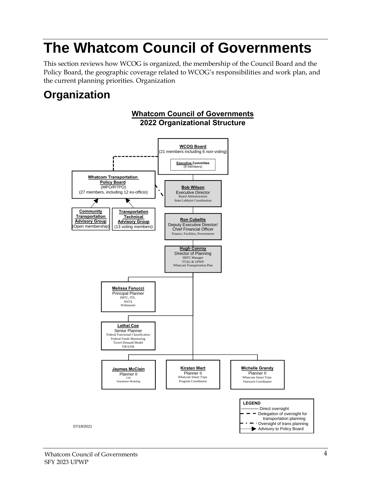# <span id="page-4-0"></span>**The Whatcom Council of Governments**

This section reviews how WCOG is organized, the membership of the Council Board and the Policy Board, the geographic coverage related to WCOG's responsibilities and work plan, and the current planning priorities. Organization

# **Organization**

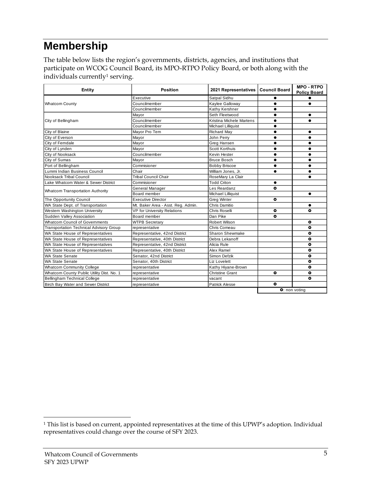# <span id="page-5-0"></span>**Membership**

The table below lists the region's governments, districts, agencies, and institutions that participate on WCOG Council Board, its MPO-RTPO Policy Board, or both along with the individuals currently<sup>1</sup> serving.

| Entity                                         | <b>Position</b>                    | <b>Council Board</b><br>2021 Representatives | <b>MPO - RTPO</b><br><b>Policy Board</b> |               |
|------------------------------------------------|------------------------------------|----------------------------------------------|------------------------------------------|---------------|
|                                                | Executive                          |                                              |                                          |               |
| <b>Whatcom County</b>                          | Councilmember                      | Kaylee Galloway                              | $\bullet$                                | $\bullet$     |
|                                                | Councilmember                      | Kathy Kershner                               | $\bullet$                                |               |
|                                                | Mayor                              | Seth Fleetwood                               | $\bullet$                                | $\bullet$     |
| City of Bellingham                             | Councilmember                      | Kristina Michele Martens                     | $\bullet$                                | $\bullet$     |
|                                                | Councilmember                      | Michael Lilliquist                           |                                          |               |
| City of Blaine                                 | Mavor Pro Tem                      | <b>Richard May</b>                           | $\bullet$                                | $\bullet$     |
| City of Everson                                | Mayor                              | John Perry                                   | $\bullet$                                | $\bullet$     |
| City of Ferndale                               | Mayor                              | Greg Hansen                                  |                                          |               |
| City of Lynden                                 | Mayor                              | Scott Korthuis                               |                                          | $\bullet$     |
| City of Nooksack                               | Councilmember                      | Kevin Hester                                 |                                          | $\bullet$     |
| City of Sumas                                  | Mayor                              | <b>Bruce Bosch</b>                           |                                          | $\bullet$     |
| Port of Bellingham                             | Commisioner                        | <b>Bobby Briscoe</b>                         |                                          | $\bullet$     |
| Lummi Indian Business Council                  | Chair                              |                                              | $\bullet$                                |               |
| Nooksack Tribal Council                        | <b>Tribal Council Chair</b>        |                                              | $\bullet$                                |               |
| Lake Whatcom Water & Sewer District            | Commisioner                        | <b>Todd Criton</b>                           | $\bullet$                                |               |
|                                                | General Manager                    | Les Reardanz                                 | $\bullet$                                |               |
| <b>Whatcom Transportation Authority</b>        | Board member                       | Michael Lilliquist                           |                                          | $\bullet$     |
| The Opportunity Council                        | <b>Executive Director</b>          | $\bullet$                                    |                                          |               |
| WA State Dept. of Transportation               | Mt. Baker Area - Asst. Reg. Admin. | Chris Damitio                                |                                          |               |
| Western Washington University                  | <b>VP for University Relations</b> | Chris Roselli                                | ۰                                        | ۰             |
| Sudden Valley Association                      | Board member                       | Dan Pike                                     | $\bullet$                                |               |
| Whatcom Council of Governments                 | <b>WTPB Secretary</b>              | Robert Wilson                                |                                          | $\bullet$     |
| <b>Transportation Technical Advisory Group</b> | representative                     | Chris Comeau                                 |                                          | $\bullet$     |
| WA State House of Representatives              | Representative, 42nd District      | Sharon Shewmake                              |                                          | $\bullet$     |
| WA State House of Representatives              | Representative, 40th District      |                                              | $\bullet$                                |               |
| WA State House of Representatives              | Representative, 42nd District      | Alicia Rule                                  |                                          | $\bullet$     |
| WA State House of Representatives              | Representative, 40th District      | Alex Ramel                                   |                                          | ۰             |
| <b>WA State Senate</b>                         | Senator, 42nd District             | Simon Defzik                                 |                                          | $\bullet$     |
| <b>WA State Senate</b>                         | Senator, 40th District             |                                              | $\bullet$                                |               |
| <b>Whatcom Community College</b>               | representative                     | Kathy Hiyane-Brown                           |                                          | $\bullet$     |
| Whatcom County Public Utility Dist. No. 1      | representative                     | <b>Christine Grant</b>                       | $\bullet$                                | $\bullet$     |
| <b>Bellingham Technical College</b>            | representative                     | vacant                                       |                                          | O             |
| <b>Birch Bay Water and Sewer District</b>      | representative                     | <b>Patrick Alesse</b>                        | $\bullet$                                |               |
|                                                |                                    |                                              |                                          | O: non voting |

<sup>&</sup>lt;sup>1</sup> This list is based on current, appointed representatives at the time of this UPWP's adoption. Individual representatives could change over the course of SFY 2023.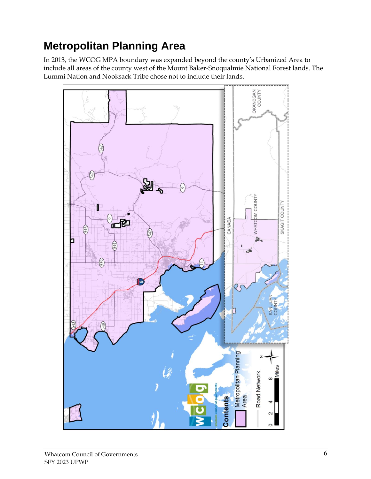# <span id="page-6-0"></span>**Metropolitan Planning Area**

In 2013, the WCOG MPA boundary was expanded beyond the county's Urbanized Area to include all areas of the county west of the Mount Baker-Snoqualmie National Forest lands. The Lummi Nation and Nooksack Tribe chose not to include their lands.

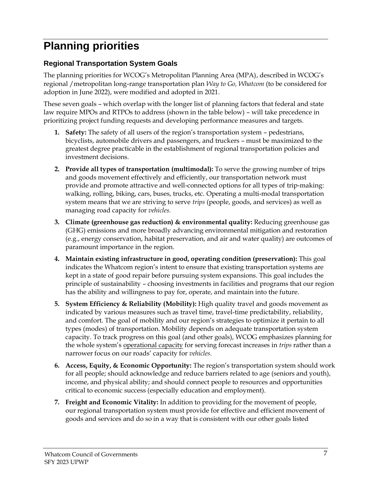# <span id="page-7-0"></span>**Planning priorities**

## **Regional Transportation System Goals**

The planning priorities for WCOG's Metropolitan Planning Area (MPA), described in WCOG's regional /metropolitan long-range transportation plan *Way to Go, Whatcom* (to be considered for adoption in June 2022), were modified and adopted in 2021.

These seven goals – which overlap with the longer list of planning factors that federal and state law require MPOs and RTPOs to address (shown in the table below) – will take precedence in prioritizing project funding requests and developing performance measures and targets.

- **1. Safety:** The safety of all users of the region's transportation system pedestrians, bicyclists, automobile drivers and passengers, and truckers – must be maximized to the greatest degree practicable in the establishment of regional transportation policies and investment decisions.
- **2. Provide all types of transportation (multimodal):** To serve the growing number of trips and goods movement effectively and efficiently, our transportation network must provide and promote attractive and well-connected options for all types of trip-making: walking, rolling, biking, cars, buses, trucks, etc. Operating a multi-modal transportation system means that we are striving to serve *trips* (people, goods, and services) as well as managing road capacity for *vehicles.*
- **3. Climate (greenhouse gas reduction) & environmental quality:** Reducing greenhouse gas (GHG) emissions and more broadly advancing environmental mitigation and restoration (e.g., energy conservation, habitat preservation, and air and water quality) are outcomes of paramount importance in the region.
- **4. Maintain existing infrastructure in good, operating condition (preservation):** This goal indicates the Whatcom region's intent to ensure that existing transportation systems are kept in a state of good repair before pursuing system expansions. This goal includes the principle of sustainability – choosing investments in facilities and programs that our region has the ability and willingness to pay for, operate, and maintain into the future.
- **5. System Efficiency & Reliability (Mobility):** High quality travel and goods movement as indicated by various measures such as travel time, travel-time predictability, reliability, and comfort. The goal of mobility and our region's strategies to optimize it pertain to all types (modes) of transportation. Mobility depends on adequate transportation system capacity. To track progress on this goal (and other goals), WCOG emphasizes planning for the whole system's operational capacity for serving forecast increases in *trips* rather than a narrower focus on our roads' capacity for *vehicles*.
- **6. Access, Equity, & Economic Opportunity:** The region's transportation system should work for all people; should acknowledge and reduce barriers related to age (seniors and youth), income, and physical ability; and should connect people to resources and opportunities critical to economic success (especially education and employment).
- **7. Freight and Economic Vitality:** In addition to providing for the movement of people, our regional transportation system must provide for effective and efficient movement of goods and services and do so in a way that is consistent with our other goals listed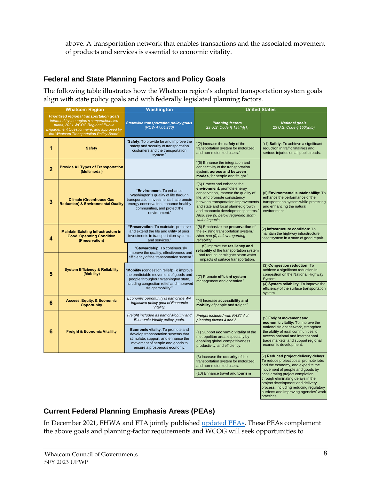above. A transportation network that enables transactions and the associated movement of products and services is essential to economic vitality.

### **Federal and State Planning Factors and Policy Goals**

The following table illustrates how the Whatcom region's adopted transportation system goals align with state policy goals and with federally legislated planning factors.

|                | <b>Whatcom Region</b>                                                                                                                                                                                                    | <b>Washington</b>                                                                                                                                                                                    | <b>United States</b>                                                                                                                                                                                                                                                                                              |                                                                                                                                                                                          |  |
|----------------|--------------------------------------------------------------------------------------------------------------------------------------------------------------------------------------------------------------------------|------------------------------------------------------------------------------------------------------------------------------------------------------------------------------------------------------|-------------------------------------------------------------------------------------------------------------------------------------------------------------------------------------------------------------------------------------------------------------------------------------------------------------------|------------------------------------------------------------------------------------------------------------------------------------------------------------------------------------------|--|
|                | Prioritized regional transportation goals<br>informed by the region's compreshensive<br>plans, 2021 WCOG Regional Public<br><b>Engagement Questionnaire, and approved by</b><br>the Whatcom Transportation Policy Board. | <b>Statewide transportation policy goals</b><br>(RCW 47.04.280)                                                                                                                                      | <b>Planning factors</b><br>23 U.S. Code § 134(h)(1)                                                                                                                                                                                                                                                               | <b>National goals</b><br>23 U.S. Code § 150(a)(b)                                                                                                                                        |  |
| 1              | <b>Safety</b>                                                                                                                                                                                                            | "Safety: To provide for and improve the<br>safety and security of transportation<br>customers and the transportation<br>system."                                                                     | "(2) Increase the safety of the<br>transportation system for motorized<br>and non-motorized users."                                                                                                                                                                                                               | "(1) Safety: To achieve a significant<br>reduction in traffic fatalities and<br>serious injuries on all public roads.                                                                    |  |
| $\overline{2}$ | <b>Provide All Types of Transportation</b><br>(Multimodal)                                                                                                                                                               |                                                                                                                                                                                                      | "(6) Enhance the integration and<br>connectivity of the transportation<br>system, across and between<br>modes, for people and freight."                                                                                                                                                                           |                                                                                                                                                                                          |  |
| 3              | <b>Climate (Greenhouse Gas</b><br><b>Reduction) &amp; Environmental Quality</b>                                                                                                                                          | "Environment: To enhance<br>Washington's quality of life through<br>transportation investments that promote<br>energy conservation, enhance healthy<br>communities, and protect the<br>environment." | "(5) Protect and enhance the<br>environment, promote energy<br>conservation, improve the quality of<br>life, and promote consistency<br>between transportation improvements<br>and state and local planned growth<br>and economic development patterns.'<br>Also, see (9) below regarding storm<br>water impacts. | (6) Environmental sustainability: To<br>enhance the performance of the<br>transportation system while protecting<br>and enhancing the natural<br>environment.                            |  |
| 4              | <b>Maintain Existing Infrastructure in</b><br><b>Good, Operating Condition</b><br>(Preservation)                                                                                                                         | "Preservation: To maintain, preserve<br>and extend the life and utility of prior<br>investments in transportation systems<br>and services."                                                          | "(8) Emphasize the preservation of<br>the existing transportation system."<br>Also, see (9) below regarding<br>reliability.                                                                                                                                                                                       | (2) Infrastructure condition: To<br>maintain the highway infrastructure<br>asset system in a state of good repair.                                                                       |  |
|                |                                                                                                                                                                                                                          | "Stewardship: To continuously<br>improve the quality, effectiveness and<br>efficiency of the transportation system.'                                                                                 | (9) Improve the resiliency and<br>reliability of the transportation system<br>and reduce or mitigate storm water<br>impacts of surface transportation.                                                                                                                                                            |                                                                                                                                                                                          |  |
| 5              | <b>System Efficiency &amp; Reliability</b><br>(Mobility)                                                                                                                                                                 | 'Mobility (congestion relief): To improve<br>the predictable movement of goods and<br>people throughout Washington state,<br>including congestion relief and improved                                | "(7) Promote efficient system<br>management and operation."                                                                                                                                                                                                                                                       | (3) Congestion reduction: To<br>achieve a significant reduction in<br>congestion on the National Highway<br>System.<br>(4) System reliability: To improve the                            |  |
|                |                                                                                                                                                                                                                          | freight mobility."                                                                                                                                                                                   |                                                                                                                                                                                                                                                                                                                   | efficiency of the surface transportation<br>system.                                                                                                                                      |  |
| 6              | <b>Access, Equity, &amp; Economic</b><br><b>Opportunity</b>                                                                                                                                                              | Economic opportunity is part of the WA<br>legisative policy goal of Economic<br>Vitality.                                                                                                            | "(4) Increase accessibility and<br>mobility of people and freight."                                                                                                                                                                                                                                               |                                                                                                                                                                                          |  |
|                | 6<br><b>Freight &amp; Economic Vitalility</b>                                                                                                                                                                            | Freight included as part of Mobility and<br>Economic Vitality policy goals.                                                                                                                          | Freight included with FAST Act<br>planning factors 4 and 6.                                                                                                                                                                                                                                                       | (5) Freight movement and<br>economic vitality: To improve the                                                                                                                            |  |
|                |                                                                                                                                                                                                                          | Economic vitality: To promote and<br>develop transportation systems that<br>stimulate, support, and enhance the<br>movement of people and goods to<br>ensure a prosperous economy.                   | (1) Support economic vitality of the<br>metropolitan area, especially by<br>enabling global competitiveness,<br>productivity, and efficiency.                                                                                                                                                                     | national freight network, strengthen<br>the ability of rural communities to<br>access national and international<br>trade markets, and support regional<br>economic development.         |  |
|                |                                                                                                                                                                                                                          |                                                                                                                                                                                                      | (3) Increase the security of the<br>transportation system for motorized<br>and non-motorized users.<br>(10) Enhance travel and tourism                                                                                                                                                                            | (7) Reduced project delivery delays:<br>To reduce project costs, promote jobs<br>and the economy, and expedite the<br>movement of people and goods by<br>accelerating project completion |  |
|                |                                                                                                                                                                                                                          |                                                                                                                                                                                                      |                                                                                                                                                                                                                                                                                                                   | through eliminating delays in the<br>project development and delivery<br>process, including reducing regulatory<br>burdens and improving agencies' work<br>practices.                    |  |

## **Current Federal Planning Emphasis Areas (PEAs)**

In December 2021, FHWA and FTA jointly published [updated PEAs.](https://www.apta.com/wp-content/uploads/FTA_Planning_Emphasis_Areas_for_Planning_and_Research_Work_Programs_12-30-2021.pdf) These PEAs complement the above goals and planning-factor requirements and WCOG will seek opportunities to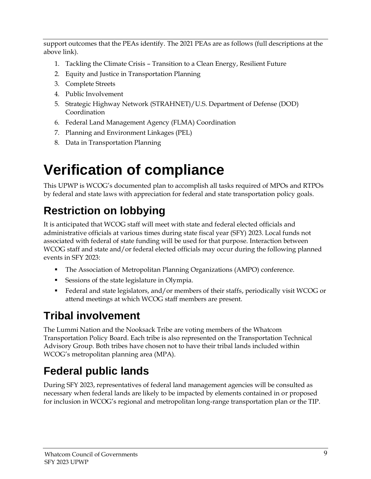support outcomes that the PEAs identify. The 2021 PEAs are as follows (full descriptions at the above link).

- 1. Tackling the Climate Crisis Transition to a Clean Energy, Resilient Future
- 2. Equity and Justice in Transportation Planning
- 3. Complete Streets
- 4. Public Involvement
- 5. Strategic Highway Network (STRAHNET)/U.S. Department of Defense (DOD) Coordination
- 6. Federal Land Management Agency (FLMA) Coordination
- 7. Planning and Environment Linkages (PEL)
- 8. Data in Transportation Planning

# <span id="page-9-0"></span>**Verification of compliance**

This UPWP is WCOG's documented plan to accomplish all tasks required of MPOs and RTPOs by federal and state laws with appreciation for federal and state transportation policy goals.

# <span id="page-9-1"></span>**Restriction on lobbying**

It is anticipated that WCOG staff will meet with state and federal elected officials and administrative officials at various times during state fiscal year (SFY) 2023. Local funds not associated with federal of state funding will be used for that purpose. Interaction between WCOG staff and state and/or federal elected officials may occur during the following planned events in SFY 2023:

- **•** The Association of Metropolitan Planning Organizations (AMPO) conference.
- Sessions of the state legislature in Olympia.
- Federal and state legislators, and/or members of their staffs, periodically visit WCOG or attend meetings at which WCOG staff members are present.

# <span id="page-9-2"></span>**Tribal involvement**

The Lummi Nation and the Nooksack Tribe are voting members of the Whatcom Transportation Policy Board. Each tribe is also represented on the Transportation Technical Advisory Group. Both tribes have chosen not to have their tribal lands included within WCOG's metropolitan planning area (MPA).

# <span id="page-9-3"></span>**Federal public lands**

During SFY 2023, representatives of federal land management agencies will be consulted as necessary when federal lands are likely to be impacted by elements contained in or proposed for inclusion in WCOG's regional and metropolitan long-range transportation plan or the TIP.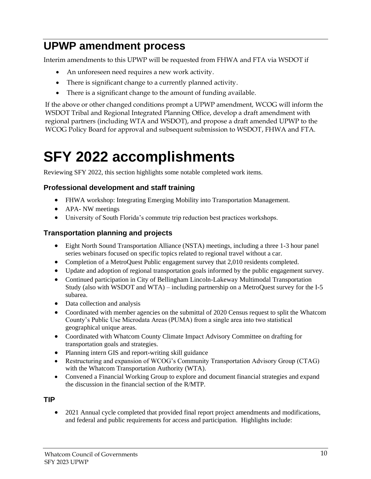# <span id="page-10-0"></span>**UPWP amendment process**

Interim amendments to this UPWP will be requested from FHWA and FTA via WSDOT if

- An unforeseen need requires a new work activity.
- There is significant change to a currently planned activity.
- There is a significant change to the amount of funding available.

If the above or other changed conditions prompt a UPWP amendment, WCOG will inform the WSDOT Tribal and Regional Integrated Planning Office, develop a draft amendment with regional partners (including WTA and WSDOT), and propose a draft amended UPWP to the WCOG Policy Board for approval and subsequent submission to WSDOT, FHWA and FTA.

# <span id="page-10-1"></span>**SFY 2022 accomplishments**

Reviewing SFY 2022, this section highlights some notable completed work items.

### **Professional development and staff training**

- FHWA workshop: Integrating Emerging Mobility into Transportation Management.
- APA- NW meetings
- University of South Florida's commute trip reduction best practices workshops.

### **Transportation planning and projects**

- Eight North Sound Transportation Alliance (NSTA) meetings, including a three 1-3 hour panel series webinars focused on specific topics related to regional travel without a car.
- Completion of a MetroQuest Public engagement survey that 2,010 residents completed.
- Update and adoption of regional transportation goals informed by the public engagement survey.
- Continued participation in City of Bellingham Lincoln-Lakeway Multimodal Transportation Study (also with WSDOT and WTA) – including partnership on a MetroQuest survey for the I-5 subarea.
- Data collection and analysis
- Coordinated with member agencies on the submittal of 2020 Census request to split the Whatcom County's Public Use Microdata Areas (PUMA) from a single area into two statistical geographical unique areas.
- Coordinated with Whatcom County Climate Impact Advisory Committee on drafting for transportation goals and strategies.
- Planning intern GIS and report-writing skill guidance
- Restructuring and expansion of WCOG's Community Transportation Advisory Group (CTAG) with the Whatcom Transportation Authority (WTA).
- Convened a Financial Working Group to explore and document financial strategies and expand the discussion in the financial section of the R/MTP.

#### **TIP**

• 2021 Annual cycle completed that provided final report project amendments and modifications, and federal and public requirements for access and participation. Highlights include: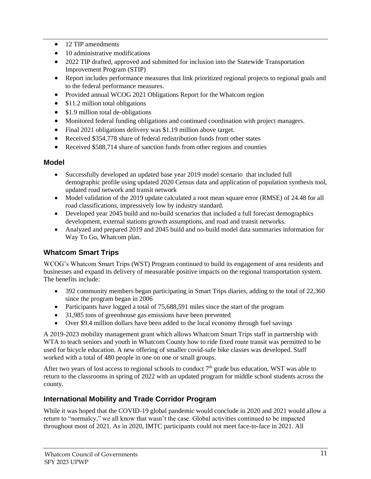- 12 TIP amendments
- 10 administrative modifications
- 2022 TIP drafted, approved and submitted for inclusion into the Statewide Transportation Improvement Program (STIP)
- Report includes performance measures that link prioritized regional projects to regional goals and to the federal performance measures.
- Provided annual WCOG 2021 Obligations Report for the Whatcom region
- \$11.2 million total obligations
- \$1.9 million total de-obligations
- Monitored federal funding obligations and continued coordination with project managers.
- Final 2021 obligations delivery was \$1.19 million above target.
- Received \$354,778 share of federal redistribution funds from other states
- Received \$588,714 share of sanction funds from other regions and counties

#### **Model**

- Successfully developed an updated base year 2019 model scenario that included full demographic profile using updated 2020 Census data and application of population synthesis tool, updated road network and transit network
- Model validation of the 2019 update calculated a root mean square error (RMSE) of 24.48 for all road classifications, impressively low by industry standard.
- Developed year 2045 build and no-build scenarios that included a full forecast demographics development, external stations growth assumptions, and road and transit networks.
- Analyzed and prepared 2019 and 2045 build and no-build model data summaries information for Way To Go, Whatcom plan.

## **Whatcom Smart Trips**

WCOG's Whatcom Smart Trips (WST) Program continued to build its engagement of area residents and businesses and expand its delivery of measurable positive impacts on the regional transportation system. The benefits include:

- 392 community members began participating in Smart Trips diaries, adding to the total of 22,360 since the program began in 2006
- Participants have logged a total of 75,688,591 miles since the start of the program
- 31,985 tons of greenhouse gas emissions have been prevented
- Over \$9.4 million dollars have been added to the local economy through fuel savings

A 2019-2023 mobility management grant which allows Whatcom Smart Trips staff in partnership with WTA to teach seniors and youth in Whatcom County how to ride fixed route transit was permitted to be used for bicycle education. A new offering of smaller covid-safe bike classes was developed. Staff worked with a total of 480 people in one on one or small groups.

After two years of lost access to regional schools to conduct  $7<sup>th</sup>$  grade bus education, WST was able to return to the classrooms in spring of 2022 with an updated program for middle school students across the county.

### **International Mobility and Trade Corridor Program**

While it was hoped that the COVID-19 global pandemic would conclude in 2020 and 2021 would allow a return to "normalcy," we all know that wasn't the case. Global activities continued to be impacted throughout most of 2021. As in 2020, IMTC participants could not meet face-to-face in 2021. All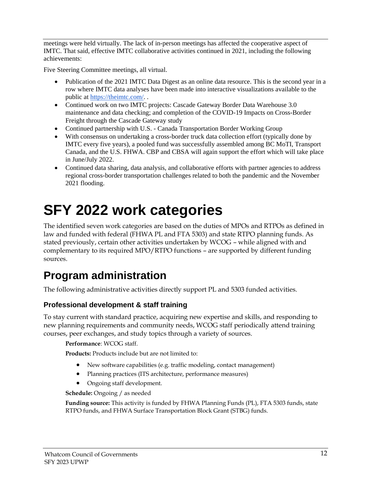meetings were held virtually. The lack of in-person meetings has affected the cooperative aspect of IMTC. That said, effective IMTC collaborative activities continued in 2021, including the following achievements:

Five Steering Committee meetings, all virtual.

- Publication of the 2021 IMTC Data Digest as an online data resource. This is the second year in a row where IMTC data analyses have been made into interactive visualizations available to the public at [https://theimtc.com/.](https://theimtc.com/) .
- Continued work on two IMTC projects: Cascade Gateway Border Data Warehouse 3.0 maintenance and data checking; and completion of the COVID-19 Impacts on Cross-Border Freight through the Cascade Gateway study
- Continued partnership with U.S. Canada Transportation Border Working Group
- With consensus on undertaking a cross-border truck data collection effort (typically done by IMTC every five years), a pooled fund was successfully assembled among BC MoTI, Transport Canada, and the U.S. FHWA. CBP and CBSA will again support the effort which will take place in June/July 2022.
- Continued data sharing, data analysis, and collaborative efforts with partner agencies to address regional cross-border transportation challenges related to both the pandemic and the November 2021 flooding.

# <span id="page-12-0"></span>**SFY 2022 work categories**

The identified seven work categories are based on the duties of MPOs and RTPOs as defined in law and funded with federal (FHWA PL and FTA 5303) and state RTPO planning funds. As stated previously, certain other activities undertaken by WCOG – while aligned with and complementary to its required MPO/RTPO functions – are supported by different funding sources.

# <span id="page-12-1"></span>**Program administration**

The following administrative activities directly support PL and 5303 funded activities.

## **Professional development & staff training**

To stay current with standard practice, acquiring new expertise and skills, and responding to new planning requirements and community needs, WCOG staff periodically attend training courses, peer exchanges, and study topics through a variety of sources.

**Performance**: WCOG staff.

**Products:** Products include but are not limited to:

- New software capabilities (e.g. traffic modeling, contact management)
- Planning practices (ITS architecture, performance measures)
- Ongoing staff development.

**Schedule:** Ongoing / as needed

**Funding source:** This activity is funded by FHWA Planning Funds (PL), FTA 5303 funds, state RTPO funds, and FHWA Surface Transportation Block Grant (STBG) funds.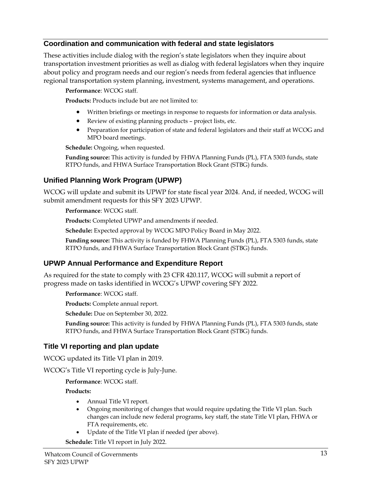#### **Coordination and communication with federal and state legislators**

These activities include dialog with the region's state legislators when they inquire about transportation investment priorities as well as dialog with federal legislators when they inquire about policy and program needs and our region's needs from federal agencies that influence regional transportation system planning, investment, systems management, and operations.

**Performance**: WCOG staff.

**Products:** Products include but are not limited to:

- Written briefings or meetings in response to requests for information or data analysis.
- Review of existing planning products project lists, etc.
- Preparation for participation of state and federal legislators and their staff at WCOG and MPO board meetings.

**Schedule:** Ongoing, when requested.

**Funding source:** This activity is funded by FHWA Planning Funds (PL), FTA 5303 funds, state RTPO funds, and FHWA Surface Transportation Block Grant (STBG) funds.

### **Unified Planning Work Program (UPWP)**

WCOG will update and submit its UPWP for state fiscal year 2024. And, if needed, WCOG will submit amendment requests for this SFY 2023 UPWP.

**Performance**: WCOG staff.

**Products:** Completed UPWP and amendments if needed.

**Schedule:** Expected approval by WCOG MPO Policy Board in May 2022.

**Funding source:** This activity is funded by FHWA Planning Funds (PL), FTA 5303 funds, state RTPO funds, and FHWA Surface Transportation Block Grant (STBG) funds.

#### **UPWP Annual Performance and Expenditure Report**

As required for the state to comply with 23 CFR 420.117, WCOG will submit a report of progress made on tasks identified in WCOG's UPWP covering SFY 2022.

**Performance**: WCOG staff.

**Products:** Complete annual report.

**Schedule:** Due on September 30, 2022.

**Funding source:** This activity is funded by FHWA Planning Funds (PL), FTA 5303 funds, state RTPO funds, and FHWA Surface Transportation Block Grant (STBG) funds.

#### **Title VI reporting and plan update**

WCOG updated its Title VI plan in 2019.

WCOG's Title VI reporting cycle is July-June.

**Performance**: WCOG staff.

**Products:**

- Annual Title VI report.
- Ongoing monitoring of changes that would require updating the Title VI plan. Such changes can include new federal programs, key staff, the state Title VI plan, FHWA or FTA requirements, etc.
- Update of the Title VI plan if needed (per above).

**Schedule:** Title VI report in July 2022.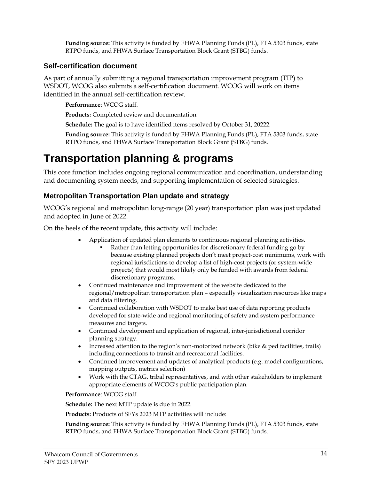**Funding source:** This activity is funded by FHWA Planning Funds (PL), FTA 5303 funds, state RTPO funds, and FHWA Surface Transportation Block Grant (STBG) funds.

#### **Self-certification document**

As part of annually submitting a regional transportation improvement program (TIP) to WSDOT, WCOG also submits a self-certification document. WCOG will work on items identified in the annual self-certification review.

**Performance**: WCOG staff.

**Products:** Completed review and documentation.

**Schedule:** The goal is to have identified items resolved by October 31, 20222.

**Funding source:** This activity is funded by FHWA Planning Funds (PL), FTA 5303 funds, state RTPO funds, and FHWA Surface Transportation Block Grant (STBG) funds.

# <span id="page-14-0"></span>**Transportation planning & programs**

This core function includes ongoing regional communication and coordination, understanding and documenting system needs, and supporting implementation of selected strategies.

## **Metropolitan Transportation Plan update and strategy**

WCOG's regional and metropolitan long-range (20 year) transportation plan was just updated and adopted in June of 2022.

On the heels of the recent update, this activity will include:

- Application of updated plan elements to continuous regional planning activities.
	- Rather than letting opportunities for discretionary federal funding go by because existing planned projects don't meet project-cost minimums, work with regional jurisdictions to develop a list of high-cost projects (or system-wide projects) that would most likely only be funded with awards from federal discretionary programs.
- Continued maintenance and improvement of the website dedicated to the regional/metropolitan transportation plan – especially visualization resources like maps and data filtering.
- Continued collaboration with WSDOT to make best use of data reporting products developed for state-wide and regional monitoring of safety and system performance measures and targets.
- Continued development and application of regional, inter-jurisdictional corridor planning strategy.
- Increased attention to the region's non-motorized network (bike & ped facilities, trails) including connections to transit and recreational facilities.
- Continued improvement and updates of analytical products (e.g. model configurations, mapping outputs, metrics selection)
- Work with the CTAG, tribal representatives, and with other stakeholders to implement appropriate elements of WCOG's public participation plan.

**Performance**: WCOG staff.

**Schedule:** The next MTP update is due in 2022.

**Products:** Products of SFYs 2023 MTP activities will include:

**Funding source:** This activity is funded by FHWA Planning Funds (PL), FTA 5303 funds, state RTPO funds, and FHWA Surface Transportation Block Grant (STBG) funds.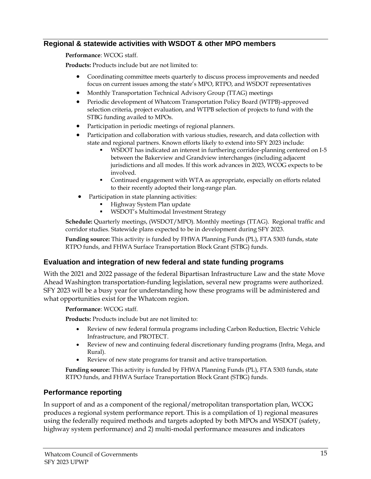#### **Regional & statewide activities with WSDOT & other MPO members**

**Performance**: WCOG staff.

**Products:** Products include but are not limited to:

- Coordinating committee meets quarterly to discuss process improvements and needed focus on current issues among the state's MPO, RTPO, and WSDOT representatives
- Monthly Transportation Technical Advisory Group (TTAG) meetings
- Periodic development of Whatcom Transportation Policy Board (WTPB)-approved selection criteria, project evaluation, and WTPB selection of projects to fund with the STBG funding availed to MPOs.
- Participation in periodic meetings of regional planners.
- Participation and collaboration with various studies, research, and data collection with state and regional partners. Known efforts likely to extend into SFY 2023 include:
	- WSDOT has indicated an interest in furthering corridor-planning centered on I-5 between the Bakerview and Grandview interchanges (including adjacent jurisdictions and all modes. If this work advances in 2023, WCOG expects to be involved.
	- Continued engagement with WTA as appropriate, especially on efforts related to their recently adopted their long-range plan.
- Participation in state planning activities:
	- Highway System Plan update
	- WSDOT's Multimodal Investment Strategy

**Schedule:** Quarterly meetings, (WSDOT/MPO). Monthly meetings (TTAG). Regional traffic and corridor studies. Statewide plans expected to be in development during SFY 2023.

**Funding source:** This activity is funded by FHWA Planning Funds (PL), FTA 5303 funds, state RTPO funds, and FHWA Surface Transportation Block Grant (STBG) funds.

#### **Evaluation and integration of new federal and state funding programs**

With the 2021 and 2022 passage of the federal Bipartisan Infrastructure Law and the state Move Ahead Washington transportation-funding legislation, several new programs were authorized. SFY 2023 will be a busy year for understanding how these programs will be administered and what opportunities exist for the Whatcom region.

**Performance**: WCOG staff.

**Products:** Products include but are not limited to:

- Review of new federal formula programs including Carbon Reduction, Electric Vehicle Infrastructure, and PROTECT.
- Review of new and continuing federal discretionary funding programs (Infra, Mega, and Rural).
- Review of new state programs for transit and active transportation.

**Funding source:** This activity is funded by FHWA Planning Funds (PL), FTA 5303 funds, state RTPO funds, and FHWA Surface Transportation Block Grant (STBG) funds.

#### **Performance reporting**

In support of and as a component of the regional/metropolitan transportation plan, WCOG produces a regional system performance report. This is a compilation of 1) regional measures using the federally required methods and targets adopted by both MPOs and WSDOT (safety, highway system performance) and 2) multi-modal performance measures and indicators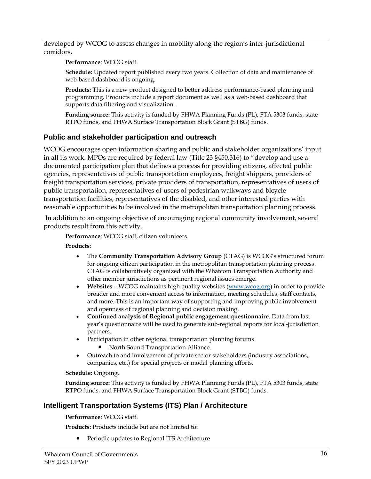developed by WCOG to assess changes in mobility along the region's inter-jurisdictional corridors.

**Performance**: WCOG staff.

**Schedule:** Updated report published every two years. Collection of data and maintenance of web-based dashboard is ongoing.

**Products:** This is a new product designed to better address performance-based planning and programming. Products include a report document as well as a web-based dashboard that supports data filtering and visualization.

**Funding source:** This activity is funded by FHWA Planning Funds (PL), FTA 5303 funds, state RTPO funds, and FHWA Surface Transportation Block Grant (STBG) funds.

### **Public and stakeholder participation and outreach**

WCOG encourages open information sharing and public and stakeholder organizations' input in all its work. MPOs are required by federal law (Title 23 §450.316) to "develop and use a documented participation plan that defines a process for providing citizens, affected public agencies, representatives of public transportation employees, freight shippers, providers of freight transportation services, private providers of transportation, representatives of users of public transportation, representatives of users of pedestrian walkways and bicycle transportation facilities, representatives of the disabled, and other interested parties with reasonable opportunities to be involved in the metropolitan transportation planning process.

In addition to an ongoing objective of encouraging regional community involvement, several products result from this activity.

**Performance**: WCOG staff, citizen volunteers.

**Products:**

- The **Community Transportation Advisory Group** (CTAG) is WCOG's structured forum for ongoing citizen participation in the metropolitan transportation planning process. CTAG is collaboratively organized with the Whatcom Transportation Authority and other member jurisdictions as pertinent regional issues emerge.
- **Websites** WCOG maintains high quality websites [\(www.wcog.org\)](file://///SERVER/Dropbox/TranPlanning/UPWP/SFY%2015%20UPWP/www.wcog.org) in order to provide broader and more convenient access to information, meeting schedules, staff contacts, and more. This is an important way of supporting and improving public involvement and openness of regional planning and decision making.
- **Continued analysis of Regional public engagement questionnaire**. Data from last year's questionnaire will be used to generate sub-regional reports for local-jurisdiction partners.
- Participation in other regional transportation planning forums
	- North Sound Transportation Alliance.
- Outreach to and involvement of private sector stakeholders (industry associations, companies, etc.) for special projects or modal planning efforts.

#### **Schedule:** Ongoing.

**Funding source:** This activity is funded by FHWA Planning Funds (PL), FTA 5303 funds, state RTPO funds, and FHWA Surface Transportation Block Grant (STBG) funds.

### **Intelligent Transportation Systems (ITS) Plan / Architecture**

**Performance**: WCOG staff.

**Products:** Products include but are not limited to:

• Periodic updates to Regional ITS Architecture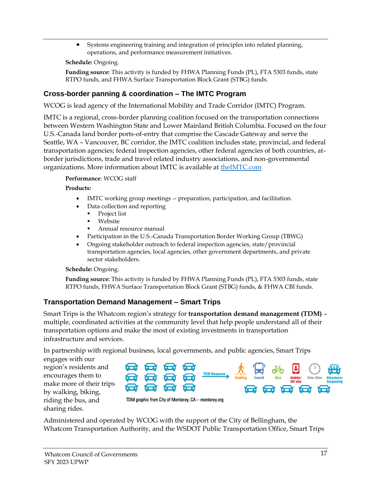• Systems engineering training and integration of principles into related planning, operations, and performance measurement initiatives.

**Schedule:** Ongoing.

**Funding source:** This activity is funded by FHWA Planning Funds (PL), FTA 5303 funds, state RTPO funds, and FHWA Surface Transportation Block Grant (STBG) funds.

### <span id="page-17-0"></span>**Cross-border panning & coordination – The IMTC Program**

WCOG is lead agency of the International Mobility and Trade Corridor (IMTC) Program.

IMTC is a regional, cross-border planning coalition focused on the transportation connections between Western Washington State and Lower Mainland British Columbia. Focused on the four U.S.-Canada land border ports-of-entry that comprise the Cascade Gateway and serve the Seattle, WA – Vancouver, BC corridor, the IMTC coalition includes state, provincial, and federal transportation agencies; federal inspection agencies, other federal agencies of both countries, atborder jurisdictions, trade and travel related industry associations, and non-governmental organizations. More information about IMTC is available at [theIMTC.com](http://www.theimtc.com/)

#### **Performance**: WCOG staff

**Products:**

- IMTC working group meetings -- preparation, participation, and facilitation.
- Data collection and reporting
	- Project list
	- Website
	- Annual resource manual
- Participation in the U.S.-Canada Transportation Border Working Group (TBWG)
- Ongoing stakeholder outreach to federal inspection agencies, state/provincial transportation agencies, local agencies, other government departments, and private sector stakeholders.

**Schedule:** Ongoing.

**Funding source:** This activity is funded by FHWA Planning Funds (PL), FTA 5303 funds, state RTPO funds, FHWA Surface Transportation Block Grant (STBG) funds, & FHWA CBI funds.

### **Transportation Demand Management – Smart Trips**

Smart Trips is the Whatcom region's strategy for **transportation demand management (TDM)** – multiple, coordinated activities at the community level that help people understand all of their transportation options and make the most of existing investments in transportation infrastructure and services.

In partnership with regional business, local governments, and public agencies, Smart Trips

engages with our region's residents and encourages them to make more of their trips by walking, biking, riding the bus, and sharing rides.



Administered and operated by WCOG with the support of the City of Bellingham, the Whatcom Transportation Authority, and the WSDOT Public Transportation Office, Smart Trips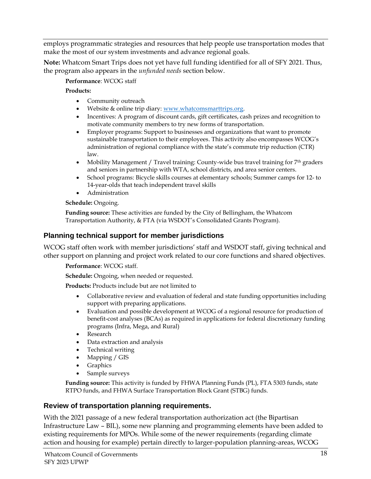employs programmatic strategies and resources that help people use transportation modes that make the most of our system investments and advance regional goals.

**Note:** Whatcom Smart Trips does not yet have full funding identified for all of SFY 2021. Thus, the program also appears in the *unfunded needs* section below.

#### **Performance**: WCOG staff

#### **Products:**

- Community outreach
- Website & online trip diary[: www.whatcomsmarttrips.org.](file:///C:/Users/WCOG/Downloads/www.whatcomsmarttrips.org)
- Incentives: A program of discount cards, gift certificates, cash prizes and recognition to motivate community members to try new forms of transportation.
- Employer programs: Support to businesses and organizations that want to promote sustainable transportation to their employees. This activity also encompasses WCOG's administration of regional compliance with the state's commute trip reduction (CTR) law.
- Mobility Management / Travel training: County-wide bus travel training for  $7<sup>th</sup>$  graders and seniors in partnership with WTA, school districts, and area senior centers.
- School programs: Bicycle skills courses at elementary schools; Summer camps for 12- to 14-year-olds that teach independent travel skills
- Administration

#### **Schedule:** Ongoing.

**Funding source:** These activities are funded by the City of Bellingham, the Whatcom Transportation Authority, & FTA (via WSDOT's Consolidated Grants Program).

### **Planning technical support for member jurisdictions**

WCOG staff often work with member jurisdictions' staff and WSDOT staff, giving technical and other support on planning and project work related to our core functions and shared objectives.

**Performance**: WCOG staff.

**Schedule:** Ongoing, when needed or requested.

**Products:** Products include but are not limited to

- Collaborative review and evaluation of federal and state funding opportunities including support with preparing applications.
- Evaluation and possible development at WCOG of a regional resource for production of benefit-cost analyses (BCAs) as required in applications for federal discretionary funding programs (Infra, Mega, and Rural)
- Research
- Data extraction and analysis
- Technical writing
- Mapping / GIS
- Graphics
- Sample surveys

**Funding source:** This activity is funded by FHWA Planning Funds (PL), FTA 5303 funds, state RTPO funds, and FHWA Surface Transportation Block Grant (STBG) funds.

### **Review of transportation planning requirements.**

With the 2021 passage of a new federal transportation authorization act (the Bipartisan Infrastructure Law – BIL), some new planning and programming elements have been added to existing requirements for MPOs. While some of the newer requirements (regarding climate action and housing for example) pertain directly to larger-population planning-areas, WCOG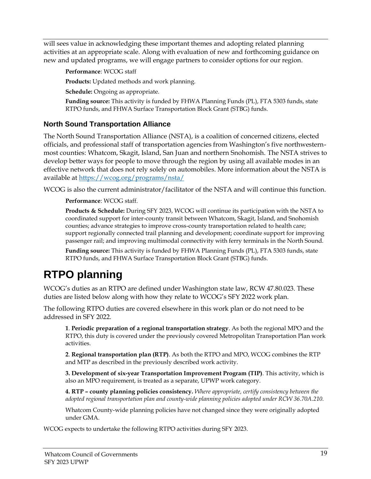will sees value in acknowledging these important themes and adopting related planning activities at an appropriate scale. Along with evaluation of new and forthcoming guidance on new and updated programs, we will engage partners to consider options for our region.

**Performance**: WCOG staff

**Products:** Updated methods and work planning.

**Schedule:** Ongoing as appropriate.

**Funding source:** This activity is funded by FHWA Planning Funds (PL), FTA 5303 funds, state RTPO funds, and FHWA Surface Transportation Block Grant (STBG) funds.

### **North Sound Transportation Alliance**

The North Sound Transportation Alliance (NSTA), is a coalition of concerned citizens, elected officials, and professional staff of transportation agencies from Washington's five northwesternmost counties: Whatcom, Skagit, Island, San Juan and northern Snohomish. The NSTA strives to develop better ways for people to move through the region by using all available modes in an effective network that does not rely solely on automobiles. More information about the NSTA is available at<https://wcog.org/programs/nsta/>

WCOG is also the current administrator/facilitator of the NSTA and will continue this function.

**Performance**: WCOG staff.

**Products & Schedule:** During SFY 2023, WCOG will continue its participation with the NSTA to coordinated support for inter-county transit between Whatcom, Skagit, Island, and Snohomish counties; advance strategies to improve cross-county transportation related to health care; support regionally connected trail planning and development; coordinate support for improving passenger rail; and improving multimodal connectivity with ferry terminals in the North Sound.

**Funding source:** This activity is funded by FHWA Planning Funds (PL), FTA 5303 funds, state RTPO funds, and FHWA Surface Transportation Block Grant (STBG) funds.

# <span id="page-19-0"></span>**RTPO planning**

WCOG's duties as an RTPO are defined under Washington state law, RCW 47.80.023. These duties are listed below along with how they relate to WCOG's SFY 2022 work plan.

The following RTPO duties are covered elsewhere in this work plan or do not need to be addressed in SFY 2022.

**1**. **Periodic preparation of a regional transportation strategy**. As both the regional MPO and the RTPO, this duty is covered under the previously covered Metropolitan Transportation Plan work activities.

**2**. **Regional transportation plan (RTP)**. As both the RTPO and MPO, WCOG combines the RTP and MTP as described in the previously described work activity.

**3. Development of six-year Transportation Improvement Program (TIP)**. This activity, which is also an MPO requirement, is treated as a separate, UPWP work category.

**4. RTP – county planning policies consistency.** *Where appropriate, certify consistency between the adopted regional transportation plan and county-wide planning policies adopted under RCW 36.70A.210.*

Whatcom County-wide planning policies have not changed since they were originally adopted under GMA.

WCOG expects to undertake the following RTPO activities during SFY 2023.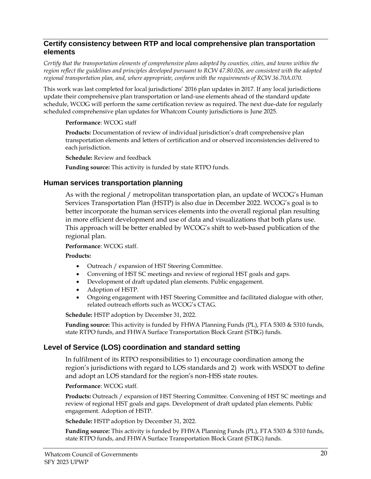#### **Certify consistency between RTP and local comprehensive plan transportation elements**

*Certify that the transportation elements of comprehensive plans adopted by counties, cities, and towns within the region reflect the guidelines and principles developed pursuant to RCW 47.80.026, are consistent with the adopted regional transportation plan, and, where appropriate, conform with the requirements of RCW 36.70A.070.*

This work was last completed for local jurisdictions' 2016 plan updates in 2017. If any local jurisdictions update their comprehensive plan transportation or land-use elements ahead of the standard update schedule, WCOG will perform the same certification review as required. The next due-date for regularly scheduled comprehensive plan updates for Whatcom County jurisdictions is June 2025.

#### **Performance**: WCOG staff

**Products:** Documentation of review of individual jurisdiction's draft comprehensive plan transportation elements and letters of certification and or observed inconsistencies delivered to each jurisdiction.

**Schedule:** Review and feedback

**Funding source:** This activity is funded by state RTPO funds.

#### **Human services transportation planning**

As with the regional / metropolitan transportation plan, an update of WCOG's Human Services Transportation Plan (HSTP) is also due in December 2022. WCOG's goal is to better incorporate the human services elements into the overall regional plan resulting in more efficient development and use of data and visualizations that both plans use. This approach will be better enabled by WCOG's shift to web-based publication of the regional plan.

#### **Performance**: WCOG staff.

**Products:**

- Outreach / expansion of HST Steering Committee.
- Convening of HST SC meetings and review of regional HST goals and gaps.
- Development of draft updated plan elements. Public engagement.
- Adoption of HSTP.
- Ongoing engagement with HST Steering Committee and facilitated dialogue with other, related outreach efforts such as WCOG's CTAG.

**Schedule:** HSTP adoption by December 31, 2022.

**Funding source:** This activity is funded by FHWA Planning Funds (PL), FTA 5303 & 5310 funds, state RTPO funds, and FHWA Surface Transportation Block Grant (STBG) funds.

#### **Level of Service (LOS) coordination and standard setting**

In fulfilment of its RTPO responsibilities to 1) encourage coordination among the region's jurisdictions with regard to LOS standards and 2) work with WSDOT to define and adopt an LOS standard for the region's non-HSS state routes.

#### **Performance**: WCOG staff.

**Products:** Outreach / expansion of HST Steering Committee. Convening of HST SC meetings and review of regional HST goals and gaps. Development of draft updated plan elements. Public engagement. Adoption of HSTP.

**Schedule:** HSTP adoption by December 31, 2022.

**Funding source:** This activity is funded by FHWA Planning Funds (PL), FTA 5303 & 5310 funds, state RTPO funds, and FHWA Surface Transportation Block Grant (STBG) funds.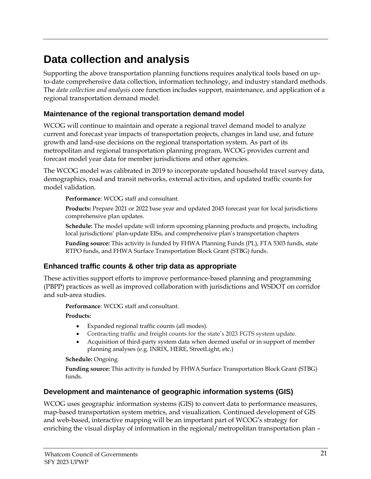# <span id="page-21-0"></span>**Data collection and analysis**

Supporting the above transportation planning functions requires analytical tools based on upto-date comprehensive data collection, information technology, and industry standard methods. The *data collection and analysis* core function includes support, maintenance, and application of a regional transportation demand model.

### **Maintenance of the regional transportation demand model**

WCOG will continue to maintain and operate a regional travel demand model to analyze current and forecast year impacts of transportation projects, changes in land use, and future growth and land-use decisions on the regional transportation system. As part of its metropolitan and regional transportation planning program, WCOG provides current and forecast model year data for member jurisdictions and other agencies.

The WCOG model was calibrated in 2019 to incorporate updated household travel survey data, demographics, road and transit networks, external activities, and updated traffic counts for model validation.

**Performance**: WCOG staff and consultant.

**Products:** Prepare 2021 or 2022 base year and updated 2045 forecast year for local jurisdictions comprehensive plan updates.

**Schedule:** The model update will inform upcoming planning products and projects, including local jurisdictions' plan-update EISs, and comprehensive plan's transportation chapters

**Funding source:** This activity is funded by FHWA Planning Funds (PL), FTA 5303 funds, state RTPO funds, and FHWA Surface Transportation Block Grant (STBG) funds.

### **Enhanced traffic counts & other trip data as appropriate**

These activities support efforts to improve performance-based planning and programming (PBPP) practices as well as improved collaboration with jurisdictions and WSDOT on corridor and sub-area studies.

**Performance**: WCOG staff and consultant.

**Products:** 

- Expanded regional traffic counts (all modes).
- Contracting traffic and freight counts for the state's 2023 FGTS system update.
- Acquisition of third-party system data when deemed useful or in support of member planning analyses (e.g. INRIX, HERE, StreetLight, etc.)

**Schedule:** Ongoing.

**Funding source:** This activity is funded by FHWA Surface Transportation Block Grant (STBG) funds.

### **Development and maintenance of geographic information systems (GIS)**

WCOG uses geographic information systems (GIS) to convert data to performance measures, map-based transportation system metrics, and visualization. Continued development of GIS and web-based, interactive mapping will be an important part of WCOG's strategy for enriching the visual display of information in the regional/metropolitan transportation plan -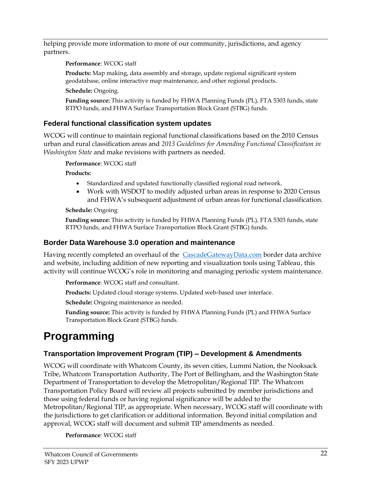helping provide more information to more of our community, jurisdictions, and agency partners.

**Performance**: WCOG staff

**Products:** Map making, data assembly and storage, update regional significant system geodatabase, online interactive map maintenance, and other regional products.

**Schedule:** Ongoing.

**Funding source:** This activity is funded by FHWA Planning Funds (PL), FTA 5303 funds, state RTPO funds, and FHWA Surface Transportation Block Grant (STBG) funds.

# **Federal functional classification system updates**

WCOG will continue to maintain regional functional classifications based on the 2010 Census urban and rural classification areas and *2013 Guidelines for Amending Functional Classification in Washington State* and make revisions with partners as needed.

**Performance**: WCOG staff

**Products:**

- Standardized and updated functionally classified regional road network.
- Work with WSDOT to modify adjusted urban areas in response to 2020 Census and FHWA's subsequent adjustment of urban areas for functional classification.

**Schedule:** Ongoing

**Funding source:** This activity is funded by FHWA Planning Funds (PL), FTA 5303 funds, state RTPO funds, and FHWA Surface Transportation Block Grant (STBG) funds.

# **Border Data Warehouse 3.0 operation and maintenance**

Having recently completed an overhaul of the [CascadeGatewayData.com](/Users/hughconroy/.CMVolumes/WCOG%20Files%20(WCOG)/WCOG%20Files/UPWP%20file%20directory%20-%20under%20construction/Administration/UPWP/SFY%2021/cascadegatewaydata.com) border data archive and website, including addition of new reporting and visualization tools using Tableau, this activity will continue WCOG's role in monitoring and managing periodic system maintenance.

**Performance**: WCOG staff and consultant.

**Products:** Updated cloud storage systems. Updated web-based user interface.

**Schedule:** Ongoing maintenance as needed.

**Funding source:** This activity is funded by FHWA Planning Funds (PL) and FHWA Surface Transportation Block Grant (STBG) funds.

# <span id="page-22-0"></span>**Programming**

# **Transportation Improvement Program (TIP) – Development & Amendments**

WCOG will coordinate with Whatcom County, its seven cities, Lummi Nation, the Nooksack Tribe, Whatcom Transportation Authority, The Port of Bellingham, and the Washington State Department of Transportation to develop the Metropolitan/Regional TIP. The Whatcom Transportation Policy Board will review all projects submitted by member jurisdictions and those using federal funds or having regional significance will be added to the Metropolitan/Regional TIP, as appropriate. When necessary, WCOG staff will coordinate with the jurisdictions to get clarification or additional information. Beyond initial compilation and approval, WCOG staff will document and submit TIP amendments as needed.

**Performance**: WCOG staff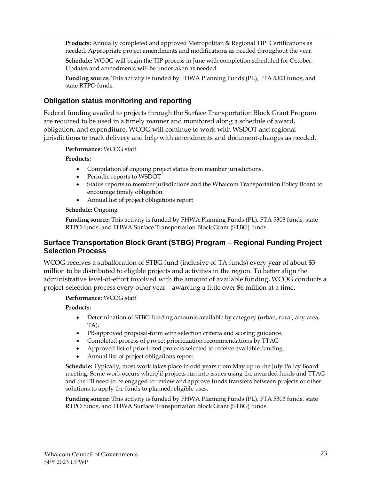**Products:** Annually completed and approved Metropolitan & Regional TIP. Certifications as needed. Appropriate project amendments and modifications as needed throughout the year.

**Schedule:** WCOG will begin the TIP process in June with completion scheduled for October. Updates and amendments will be undertaken as needed.

**Funding source:** This activity is funded by FHWA Planning Funds (PL), FTA 5303 funds, and state RTPO funds.

#### **Obligation status monitoring and reporting**

Federal funding availed to projects through the Surface Transportation Block Grant Program are required to be used in a timely manner and monitored along a schedule of award, obligation, and expenditure. WCOG will continue to work with WSDOT and regional jurisdictions to track delivery and help with amendments and document-changes as needed.

**Performance**: WCOG staff

#### **Products:**

- Compilation of ongoing project status from member jurisdictions.
- Periodic reports to WSDOT
- Status reports to member jurisdictions and the Whatcom Transportation Policy Board to encourage timely obligation.
- Annual list of project obligations report

#### **Schedule:** Ongoing

**Funding source:** This activity is funded by FHWA Planning Funds (PL), FTA 5303 funds, state RTPO funds, and FHWA Surface Transportation Block Grant (STBG) funds.

#### **Surface Transportation Block Grant (STBG) Program – Regional Funding Project Selection Process**

WCOG receives a suballocation of STBG fund (inclusive of TA funds) every year of about \$3 million to be distributed to eligible projects and activities in the region. To better align the administrative level-of-effort involved with the amount of available funding, WCOG conducts a project-selection process every other year – awarding a little over \$6 million at a time.

#### **Performance**: WCOG staff

#### **Products:**

- Determination of STBG funding amounts available by category (urban, rural, any-area, TA).
- PB-approved proposal-form with selection criteria and scoring guidance.
- Completed process of project prioritization recommendations by TTAG
- Approved list of prioritized projects selected to receive available funding.
- Annual list of project obligations report

**Schedule:** Typically, most work takes place in odd years from May up to the July Policy Board meeting. Some work occurs when/if projects run into issues using the awarded funds and TTAG and the PB need to be engaged to review and approve funds transfers between projects or other solutions to apply the funds to planned, eligible uses.

**Funding source:** This activity is funded by FHWA Planning Funds (PL), FTA 5303 funds, state RTPO funds, and FHWA Surface Transportation Block Grant (STBG) funds.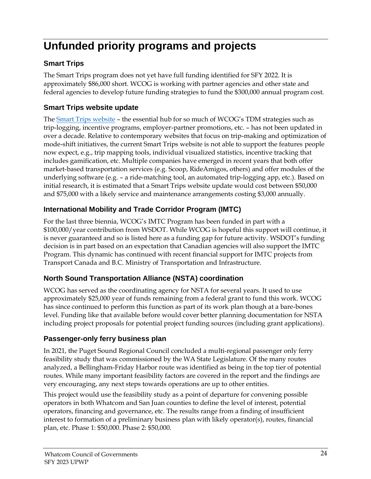# <span id="page-24-0"></span>**Unfunded priority programs and projects**

# **Smart Trips**

The Smart Trips program does not yet have full funding identified for SFY 2022. It is approximately \$86,000 short. WCOG is working with partner agencies and other state and federal agencies to develop future funding strategies to fund the \$300,000 annual program cost.

## **Smart Trips website update**

The [Smart Trips website](https://www.whatcomsmarttrips.org/) – the essential hub for so much of WCOG's TDM strategies such as trip-logging, incentive programs, employer-partner promotions, etc. – has not been updated in over a decade. Relative to contemporary websites that focus on trip-making and optimization of mode-shift initiatives, the current Smart Trips website is not able to support the features people now expect, e.g., trip mapping tools, individual visualized statistics, incentive tracking that includes gamification, etc. Multiple companies have emerged in recent years that both offer market-based transportation services (e.g. Scoop, RideAmigos, others) and offer modules of the underlying software (e.g. – a ride-matching tool, an automated trip-logging app, etc.). Based on initial research, it is estimated that a Smart Trips website update would cost between \$50,000 and \$75,000 with a likely service and maintenance arrangements costing \$3,000 annually.

# **International Mobility and Trade Corridor Program (IMTC)**

For the last three biennia, WCOG's IMTC Program has been funded in part with a \$100,000/year contribution from WSDOT. While WCOG is hopeful this support will continue, it is never guaranteed and so is listed here as a funding gap for future activity. WSDOT's funding decision is in part based on an expectation that Canadian agencies will also support the IMTC Program. This dynamic has continued with recent financial support for IMTC projects from Transport Canada and B.C. Ministry of Transportation and Infrastructure.

## **North Sound Transportation Alliance (NSTA) coordination**

WCOG has served as the coordinating agency for NSTA for several years. It used to use approximately \$25,000 year of funds remaining from a federal grant to fund this work. WCOG has since continued to perform this function as part of its work plan though at a bare-bones level. Funding like that available before would cover better planning documentation for NSTA including project proposals for potential project funding sources (including grant applications).

# **Passenger-only ferry business plan**

In 2021, the Puget Sound Regional Council concluded a multi-regional passenger only ferry feasibility study that was commissioned by the WA State Legislature. Of the many routes analyzed, a Bellingham-Friday Harbor route was identified as being in the top tier of potential routes. While many important feasibility factors are covered in the report and the findings are very encouraging, any next steps towards operations are up to other entities.

This project would use the feasibility study as a point of departure for convening possible operators in both Whatcom and San Juan counties to define the level of interest, potential operators, financing and governance, etc. The results range from a finding of insufficient interest to formation of a preliminary business plan with likely operator(s), routes, financial plan, etc. Phase 1: \$50,000. Phase 2: \$50,000.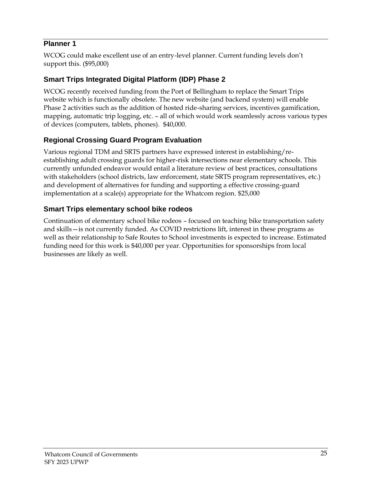### **Planner 1**

WCOG could make excellent use of an entry-level planner. Current funding levels don't support this. (\$95,000)

## **Smart Trips Integrated Digital Platform (IDP) Phase 2**

WCOG recently received funding from the Port of Bellingham to replace the Smart Trips website which is functionally obsolete. The new website (and backend system) will enable Phase 2 activities such as the addition of hosted ride-sharing services, incentives gamification, mapping, automatic trip logging, etc. – all of which would work seamlessly across various types of devices (computers, tablets, phones). \$40,000.

## **Regional Crossing Guard Program Evaluation**

Various regional TDM and SRTS partners have expressed interest in establishing/reestablishing adult crossing guards for higher-risk intersections near elementary schools. This currently unfunded endeavor would entail a literature review of best practices, consultations with stakeholders (school districts, law enforcement, state SRTS program representatives, etc.) and development of alternatives for funding and supporting a effective crossing-guard implementation at a scale(s) appropriate for the Whatcom region. \$25,000

## **Smart Trips elementary school bike rodeos**

Continuation of elementary school bike rodeos – focused on teaching bike transportation safety and skills—is not currently funded. As COVID restrictions lift, interest in these programs as well as their relationship to Safe Routes to School investments is expected to increase. Estimated funding need for this work is \$40,000 per year. Opportunities for sponsorships from local businesses are likely as well.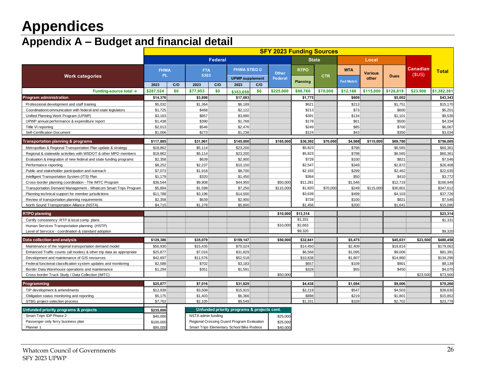# **Appendices**

# **Appendix A – Budget and financial detail**

Passenger-only ferry business plan the state of the state of the state of the state of the state of the state of the state of the state of the state of the state of the state of the state of the state of the state of the s Planner 1 **1** \$95,000 Smart Trips Elementary School Bike Rodeos \$40,000

<span id="page-26-0"></span>

|                                                                      | <b>SFY 2023 Funding Sources</b> |         |                            |              |                                                     |       |                         |                                |            |                                |                         |             |                          |              |
|----------------------------------------------------------------------|---------------------------------|---------|----------------------------|--------------|-----------------------------------------------------|-------|-------------------------|--------------------------------|------------|--------------------------------|-------------------------|-------------|--------------------------|--------------|
|                                                                      |                                 | Federal |                            | <b>State</b> |                                                     | Local |                         |                                |            |                                |                         |             |                          |              |
| <b>Work categories</b>                                               | <b>FHWA</b><br>PL.<br>2023      | C/O     | <b>FTA</b><br>5303<br>2023 | C/O          | <b>FHWA STBGU</b><br><b>UPWP</b> supplement<br>2023 | C/O   | <b>Other</b><br>Federal | <b>RTPO</b><br><b>Planning</b> | <b>CTR</b> | <b>WTA</b><br><b>Fed Match</b> | <b>Various</b><br>other | <b>Dues</b> | <b>Canadian</b><br>(SUS) | <b>Total</b> |
| Funding-source total $\rightarrow$                                   | \$287,524                       | \$0     | \$77,953                   | \$0          | \$353,659                                           | \$0   | \$225,000               | \$88,760                       | \$70,000   | \$12,166                       | \$115,000               | \$128,819   | \$23,500                 | \$1,382,381  |
| <b>Program administration</b>                                        | \$14,376                        |         | \$3,898                    |              | \$17,683                                            |       |                         | \$1,775                        |            | \$609                          |                         | \$5,002     |                          | \$43,343     |
| Professional development and staff training                          | \$5,032                         |         | \$1,364                    |              | \$6,189                                             |       |                         | \$621                          |            | \$213                          |                         | \$1,751     |                          | \$15,170     |
| Coordination/communication with federal and state legislators        | \$1,725                         |         | \$468                      |              | \$2,122                                             |       |                         | \$213                          |            | \$73                           |                         | \$600       |                          | \$5,201      |
| Unified Planning Work Program (UPWP)                                 | \$3,163                         |         | \$857                      |              | \$3,890                                             |       |                         | \$391                          |            | \$134                          |                         | \$1,101     |                          | \$9,536      |
| UPWP annual performance & expenditure report                         | \$1,438                         |         | \$390                      |              | \$1,768                                             |       |                         | \$178                          |            | \$61                           |                         | \$500       |                          | \$4,334      |
| Titlle VI reporting                                                  | \$2,013                         |         | \$546                      |              | \$2,476                                             |       |                         | \$249                          |            | \$85                           |                         | \$700       |                          | \$6,067      |
| Self-Certification Document                                          | \$1,006                         |         | \$273                      |              | \$1,238                                             |       |                         | \$124                          |            | \$43                           |                         | \$350       |                          | \$3,034      |
| <b>Transportation planning &amp; programs</b>                        | \$117,885                       |         | \$31,961                   |              | \$145,000                                           |       | \$165,000               | \$36,392                       | \$70,000   | \$4,988                        | \$115,000               | \$69,780    |                          | \$756,005    |
| Metropolitan & Regional Transportation Plan update & strategy        | \$18,862                        |         | \$5,114                    |              | \$23,200                                            |       |                         | \$5,823                        |            | \$798                          |                         | \$6,565     |                          | \$60,361     |
| Regional & statewide activities with WSDOT & other MPO members       | \$18,862                        |         | \$5,114                    |              | \$23,200                                            |       |                         | \$5,823                        |            | \$798                          |                         | \$6,565     |                          | \$60,361     |
| Evaluation & integration of new federal and state funding programs   | \$2,358                         |         | \$639                      |              | \$2,900                                             |       |                         | \$728                          |            | \$100                          |                         | \$821       |                          | \$7,546      |
| Performance reporting                                                | \$8,252                         |         | \$2.237                    |              | \$10,150                                            |       |                         | \$2,547                        |            | \$349                          |                         | \$2.872     |                          | \$26,408     |
| Public and stakeholder participation and outreach                    | \$7,073                         |         | \$1,918                    |              | \$8,700                                             |       |                         | \$2,183                        |            | \$299                          |                         | \$2.462     |                          | \$22,635     |
| Intelligent Transportation System (ITS) Plan                         | \$1,179                         |         | \$320                      |              | \$1,450                                             |       |                         | \$364                          |            | \$50                           |                         | \$410       |                          | \$3,772      |
| Cross-border planning coordination - The IMTC Program                | \$36,544                        |         | \$9,908                    |              | \$44,950                                            |       | \$50,000                | \$11,281                       |            | \$1,546                        |                         | \$12,719    |                          | \$166,949    |
| Transportation Demand Management - Whatcom Smart Trips Program       | \$5,894                         |         | \$1,598                    |              | \$7,250                                             |       | \$115,000               | \$1,820                        | \$70,000   | \$249                          | \$115,000               | \$30,801    |                          | \$347,612    |
| Planning technical support for member jurisdictions                  | \$11,788                        |         | \$3,196                    |              | \$14,500                                            |       |                         | \$3,639                        |            | \$499                          |                         | \$4,103     |                          | \$37,726     |
| Review of transportation planning requirements                       | \$2,358                         |         | \$639                      |              | \$2,900                                             |       |                         | \$728                          |            | \$100                          |                         | \$821       |                          | \$7,546      |
| North Sound Transportation Alliance (NSTA)                           | \$4,715                         |         | \$1,278                    |              | \$5,800                                             |       |                         | \$1,456                        |            | \$200                          |                         | \$1,641     |                          | \$15,090     |
| <b>RTPO</b> planning                                                 |                                 |         |                            |              |                                                     |       | \$10,000                | \$13,314                       |            |                                |                         |             |                          | \$23,314     |
| Certify consistency: RTP & local comp. plans                         |                                 |         |                            |              |                                                     |       |                         | \$1,331                        |            |                                |                         |             |                          | \$1,331      |
| Human Services Transportation planning (HSTP)                        |                                 |         |                            |              |                                                     |       | \$10,000                | \$2,663                        |            |                                |                         |             |                          |              |
| Level of Servcice - coordination & standard adoption                 |                                 |         |                            |              |                                                     |       |                         | \$9,320                        |            |                                |                         |             |                          | \$9,320      |
| Data collection and analysis                                         | \$129,386                       |         | \$35,079                   |              | \$159,147                                           |       | \$50,000                | \$32,841                       |            | \$5,475                        |                         | \$45,031    | \$23,500                 | \$480,458    |
| Maintenance of the regional transportation demand model              | \$56,930                        |         | \$15,435                   |              | \$70,024                                            |       |                         | \$14,450                       |            | \$2,409                        |                         | \$19,814    |                          | \$179,062    |
| Enhanced Traffic counts (all modes) & other trip data as appropriate | \$25,877                        |         | \$7,016                    |              | \$31,829                                            |       |                         | \$6,568                        |            | \$1,095                        |                         | \$9,006     |                          | \$81,391     |
| Development and maintenance of GIS resources                         | \$42,697                        |         | \$11,576                   |              | \$52,518                                            |       |                         | \$10,838                       |            | \$1,807                        |                         | \$14,860    |                          | \$134,296    |
| Federal functional classification system updates and monitoring      | \$2.588                         |         | \$702                      |              | \$3,183                                             |       |                         | \$657                          |            | \$109                          |                         | \$901       |                          | \$8,139      |
| Border Data Warehouse operations and maintenance                     | \$1.294                         |         | \$351                      |              | \$1,591                                             |       |                         | \$328                          |            | \$55                           |                         | \$450       |                          | \$4,070      |
| Cross-border Truck Study / Data Collection (IMTC)                    |                                 |         |                            |              |                                                     |       | \$50,000                |                                |            |                                |                         |             | \$23,500                 | \$73,500     |
| Programming                                                          | \$25,877                        |         | \$7,016                    |              | \$31,829                                            |       |                         | \$4,438                        |            | \$1,094                        |                         | \$9,006     |                          | \$79,260     |
| TIP development & amendments                                         | \$12,939                        |         | \$3,508                    |              | \$15,915                                            |       |                         | \$2,219                        |            | \$547                          |                         | \$4,503     |                          | \$39,630     |
| Obligation status monitoring and reporting                           | \$5,175                         |         | \$1,403                    |              | \$6,366                                             |       |                         | \$888                          |            | \$219                          |                         | \$1,801     |                          | \$15,852     |
| STBG project-selection process                                       | \$7.763                         |         | \$2.105                    |              | \$9.549                                             |       |                         | \$1.331                        |            | \$328                          |                         | \$2.702     |                          | \$23,778     |
| Unfunded priority programs & projects                                | \$235,000                       |         |                            |              | Unfunded priority programs & projects cont.         |       |                         |                                |            |                                |                         |             |                          |              |
| Smart Trips IDP Phase 2                                              | \$40,000                        |         | NSTA admin funding         |              |                                                     |       | \$25,000                |                                |            |                                |                         |             |                          |              |
|                                                                      |                                 |         |                            |              |                                                     |       |                         |                                |            |                                |                         |             |                          |              |